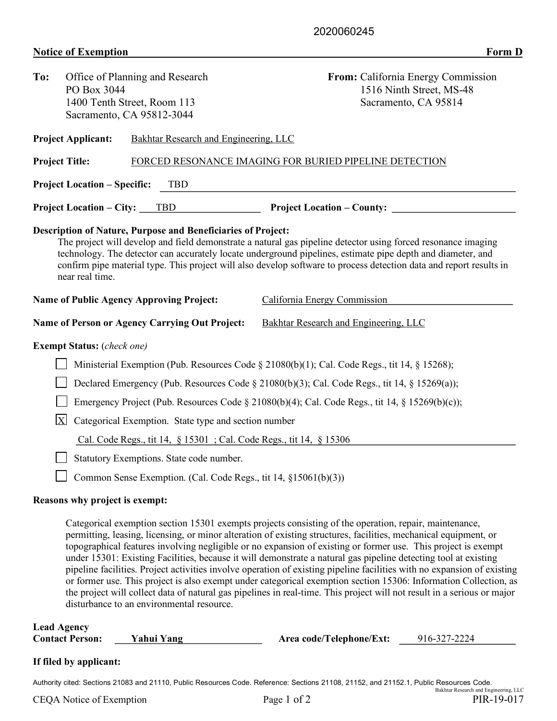## **Notice of Exemption Form D**

| To:                                                                                                                                                                                                                                                                                                                                                                                                                                                                                                                              | Office of Planning and Research<br>PO Box 3044<br>1400 Tenth Street, Room 113<br>Sacramento, CA 95812-3044 |  |                                                                 | From: California Energy Commission<br>1516 Ninth Street, MS-48<br>Sacramento, CA 95814 |                                                        |  |  |  |  |  |
|----------------------------------------------------------------------------------------------------------------------------------------------------------------------------------------------------------------------------------------------------------------------------------------------------------------------------------------------------------------------------------------------------------------------------------------------------------------------------------------------------------------------------------|------------------------------------------------------------------------------------------------------------|--|-----------------------------------------------------------------|----------------------------------------------------------------------------------------|--------------------------------------------------------|--|--|--|--|--|
|                                                                                                                                                                                                                                                                                                                                                                                                                                                                                                                                  | <b>Project Applicant:</b>                                                                                  |  | Bakhtar Research and Engineering, LLC                           |                                                                                        |                                                        |  |  |  |  |  |
| <b>Project Title:</b>                                                                                                                                                                                                                                                                                                                                                                                                                                                                                                            |                                                                                                            |  |                                                                 |                                                                                        | FORCED RESONANCE IMAGING FOR BURIED PIPELINE DETECTION |  |  |  |  |  |
|                                                                                                                                                                                                                                                                                                                                                                                                                                                                                                                                  | <b>Project Location – Specific:</b>                                                                        |  | <b>TBD</b>                                                      |                                                                                        |                                                        |  |  |  |  |  |
|                                                                                                                                                                                                                                                                                                                                                                                                                                                                                                                                  |                                                                                                            |  | <b>Project Location – City:</b> TBD                             |                                                                                        |                                                        |  |  |  |  |  |
| <b>Description of Nature, Purpose and Beneficiaries of Project:</b><br>The project will develop and field demonstrate a natural gas pipeline detector using forced resonance imaging<br>technology. The detector can accurately locate underground pipelines, estimate pipe depth and diameter, and<br>confirm pipe material type. This project will also develop software to process detection data and report results in<br>near real time.<br>California Energy Commission<br><b>Name of Public Agency Approving Project:</b> |                                                                                                            |  |                                                                 |                                                                                        |                                                        |  |  |  |  |  |
| <b>Name of Person or Agency Carrying Out Project:</b>                                                                                                                                                                                                                                                                                                                                                                                                                                                                            |                                                                                                            |  |                                                                 | Bakhtar Research and Engineering, LLC                                                  |                                                        |  |  |  |  |  |
| <b>Exempt Status:</b> (check one)                                                                                                                                                                                                                                                                                                                                                                                                                                                                                                |                                                                                                            |  |                                                                 |                                                                                        |                                                        |  |  |  |  |  |
|                                                                                                                                                                                                                                                                                                                                                                                                                                                                                                                                  | Ministerial Exemption (Pub. Resources Code § 21080(b)(1); Cal. Code Regs., tit 14, § 15268);               |  |                                                                 |                                                                                        |                                                        |  |  |  |  |  |
|                                                                                                                                                                                                                                                                                                                                                                                                                                                                                                                                  | Declared Emergency (Pub. Resources Code § 21080(b)(3); Cal. Code Regs., tit 14, § 15269(a));               |  |                                                                 |                                                                                        |                                                        |  |  |  |  |  |
|                                                                                                                                                                                                                                                                                                                                                                                                                                                                                                                                  | Emergency Project (Pub. Resources Code § 21080(b)(4); Cal. Code Regs., tit 14, § 15269(b)(c));             |  |                                                                 |                                                                                        |                                                        |  |  |  |  |  |
|                                                                                                                                                                                                                                                                                                                                                                                                                                                                                                                                  | $\vert$ X<br>Categorical Exemption. State type and section number                                          |  |                                                                 |                                                                                        |                                                        |  |  |  |  |  |
|                                                                                                                                                                                                                                                                                                                                                                                                                                                                                                                                  | Cal. Code Regs., tit 14, § 15301; Cal. Code Regs., tit 14, § 15306                                         |  |                                                                 |                                                                                        |                                                        |  |  |  |  |  |
| Statutory Exemptions. State code number.                                                                                                                                                                                                                                                                                                                                                                                                                                                                                         |                                                                                                            |  |                                                                 |                                                                                        |                                                        |  |  |  |  |  |
|                                                                                                                                                                                                                                                                                                                                                                                                                                                                                                                                  |                                                                                                            |  | Common Sense Exemption. (Cal. Code Regs., tit 14, §15061(b)(3)) |                                                                                        |                                                        |  |  |  |  |  |

## **Reasons why project is exempt:**

Categorical exemption section 15301 exempts projects consisting of the operation, repair, maintenance, permitting, leasing, licensing, or minor alteration of existing structures, facilities, mechanical equipment, or topographical features involving negligible or no expansion of existing or former use. This project is exempt under 15301: Existing Facilities, because it will demonstrate a natural gas pipeline detecting tool at existing pipeline facilities. Project activities involve operation of existing pipeline facilities with no expansion of existing or former use. This project is also exempt under categorical exemption section 15306: Information Collection, as the project will collect data of natural gas pipelines in real-time. This project will not result in a serious or major disturbance to an environmental resource.

| <b>Lead Agency</b>     |            |                          |              |
|------------------------|------------|--------------------------|--------------|
| <b>Contact Person:</b> | Yahui Yang | Area code/Telephone/Ext: | 916-327-2224 |

## **If filed by applicant:**

Authority cited: Sections 21083 and 21110, Public Resources Code. Reference: Sections 21108, 21152, and 21152.1, Public Resources Code. Bakhtar Research and Engineering, LLC